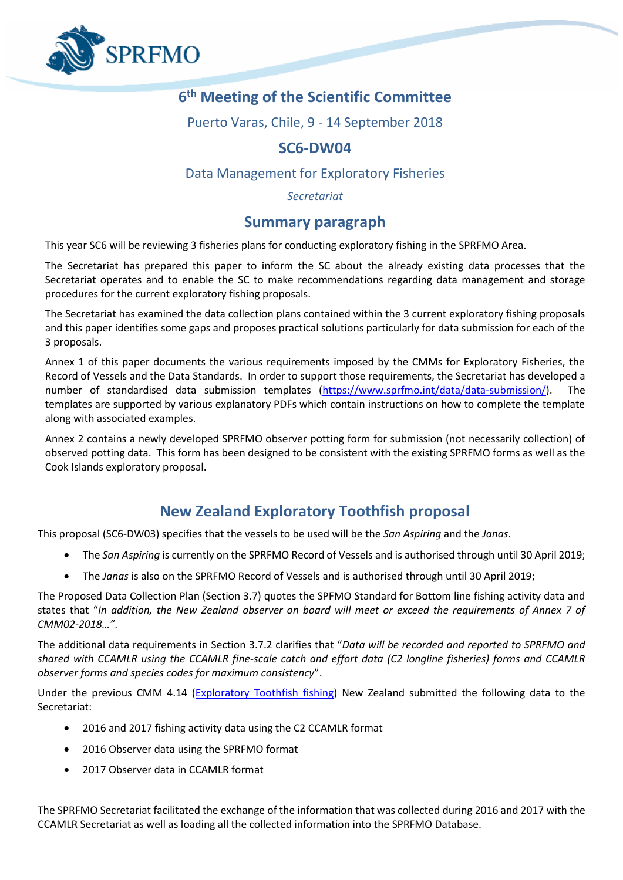

# **6 th Meeting of the Scientific Committee**

Puerto Varas, Chile, 9 - 14 September 2018

## **SC6-DW04**

### Data Management for Exploratory Fisheries

*Secretariat*

### **Summary paragraph**

This year SC6 will be reviewing 3 fisheries plans for conducting exploratory fishing in the SPRFMO Area.

The Secretariat has prepared this paper to inform the SC about the already existing data processes that the Secretariat operates and to enable the SC to make recommendations regarding data management and storage procedures for the current exploratory fishing proposals.

The Secretariat has examined the data collection plans contained within the 3 current exploratory fishing proposals and this paper identifies some gaps and proposes practical solutions particularly for data submission for each of the 3 proposals.

Annex 1 of this paper documents the various requirements imposed by the CMMs for Exploratory Fisheries, the Record of Vessels and the Data Standards. In order to support those requirements, the Secretariat has developed a number of standardised data submission templates [\(https://www.sprfmo.int/data/data-submission/\)](https://www.sprfmo.int/data/data-submission/). The templates are supported by various explanatory PDFs which contain instructions on how to complete the template along with associated examples.

Annex 2 contains a newly developed SPRFMO observer potting form for submission (not necessarily collection) of observed potting data. This form has been designed to be consistent with the existing SPRFMO forms as well as the Cook Islands exploratory proposal.

## **New Zealand Exploratory Toothfish proposal**

This proposal (SC6-DW03) specifies that the vessels to be used will be the *San Aspiring* and the *Janas*.

- The *San Aspiring* is currently on the SPRFMO Record of Vessels and is authorised through until 30 April 2019;
- The *Janas* is also on the SPRFMO Record of Vessels and is authorised through until 30 April 2019;

The Proposed Data Collection Plan (Section 3.7) quotes the SPFMO Standard for Bottom line fishing activity data and states that "*In addition, the New Zealand observer on board will meet or exceed the requirements of Annex 7 of CMM02-2018…"*.

The additional data requirements in Section 3.7.2 clarifies that "*Data will be recorded and reported to SPRFMO and shared with CCAMLR using the CCAMLR fine-scale catch and effort data (C2 longline fisheries) forms and CCAMLR observer forms and species codes for maximum consistency*".

Under the previous CMM 4.14 [\(Exploratory Toothfish fishing\)](https://www.sprfmo.int/assets/Fisheries/Conservation-and-Management-Measures/CMM-4.14-Exploratory-Toothfish-Fishing-2016-4Mar2016.pdf) New Zealand submitted the following data to the Secretariat:

- 2016 and 2017 fishing activity data using the C2 CCAMLR format
- 2016 Observer data using the SPRFMO format
- 2017 Observer data in CCAMLR format

The SPRFMO Secretariat facilitated the exchange of the information that was collected during 2016 and 2017 with the CCAMLR Secretariat as well as loading all the collected information into the SPRFMO Database.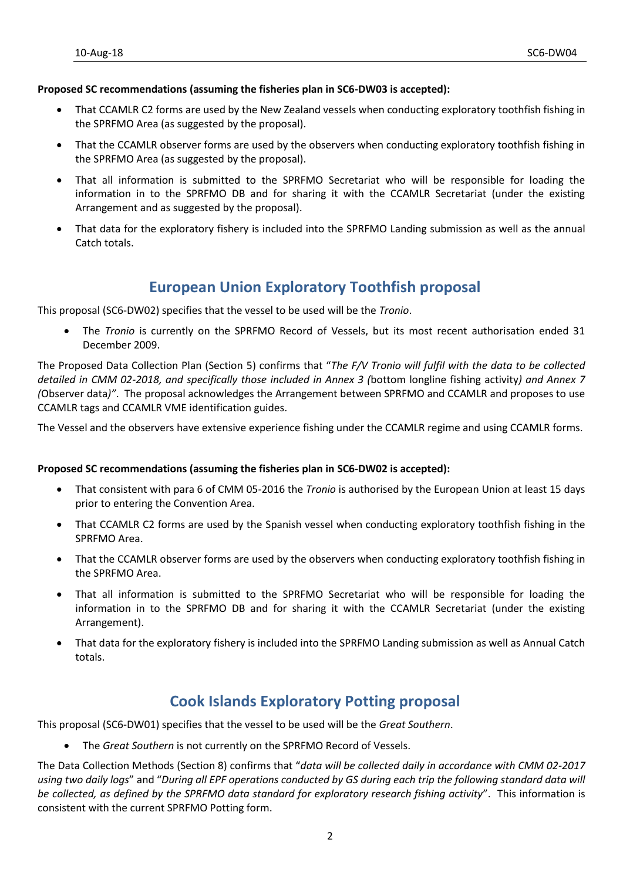#### **Proposed SC recommendations (assuming the fisheries plan in SC6-DW03 is accepted):**

- That CCAMLR C2 forms are used by the New Zealand vessels when conducting exploratory toothfish fishing in the SPRFMO Area (as suggested by the proposal).
- That the CCAMLR observer forms are used by the observers when conducting exploratory toothfish fishing in the SPRFMO Area (as suggested by the proposal).
- That all information is submitted to the SPRFMO Secretariat who will be responsible for loading the information in to the SPRFMO DB and for sharing it with the CCAMLR Secretariat (under the existing Arrangement and as suggested by the proposal).
- That data for the exploratory fishery is included into the SPRFMO Landing submission as well as the annual Catch totals.

# **European Union Exploratory Toothfish proposal**

This proposal (SC6-DW02) specifies that the vessel to be used will be the *Tronio*.

• The *Tronio* is currently on the SPRFMO Record of Vessels, but its most recent authorisation ended 31 December 2009.

The Proposed Data Collection Plan (Section 5) confirms that "*The F/V Tronio will fulfil with the data to be collected detailed in CMM 02-2018, and specifically those included in Annex 3 (*bottom longline fishing activity*) and Annex 7 (*Observer data*)"*. The proposal acknowledges the Arrangement between SPRFMO and CCAMLR and proposes to use CCAMLR tags and CCAMLR VME identification guides.

The Vessel and the observers have extensive experience fishing under the CCAMLR regime and using CCAMLR forms.

### **Proposed SC recommendations (assuming the fisheries plan in SC6-DW02 is accepted):**

- That consistent with para 6 of CMM 05-2016 the *Tronio* is authorised by the European Union at least 15 days prior to entering the Convention Area.
- That CCAMLR C2 forms are used by the Spanish vessel when conducting exploratory toothfish fishing in the SPRFMO Area.
- That the CCAMLR observer forms are used by the observers when conducting exploratory toothfish fishing in the SPRFMO Area.
- That all information is submitted to the SPRFMO Secretariat who will be responsible for loading the information in to the SPRFMO DB and for sharing it with the CCAMLR Secretariat (under the existing Arrangement).
- That data for the exploratory fishery is included into the SPRFMO Landing submission as well as Annual Catch totals.

# **Cook Islands Exploratory Potting proposal**

This proposal (SC6-DW01) specifies that the vessel to be used will be the *Great Southern*.

• The *Great Southern* is not currently on the SPRFMO Record of Vessels.

The Data Collection Methods (Section 8) confirms that "*data will be collected daily in accordance with CMM 02-2017 using two daily logs*" and "*During all EPF operations conducted by GS during each trip the following standard data will be collected, as defined by the SPRFMO data standard for exploratory research fishing activity*". This information is consistent with the current SPRFMO Potting form.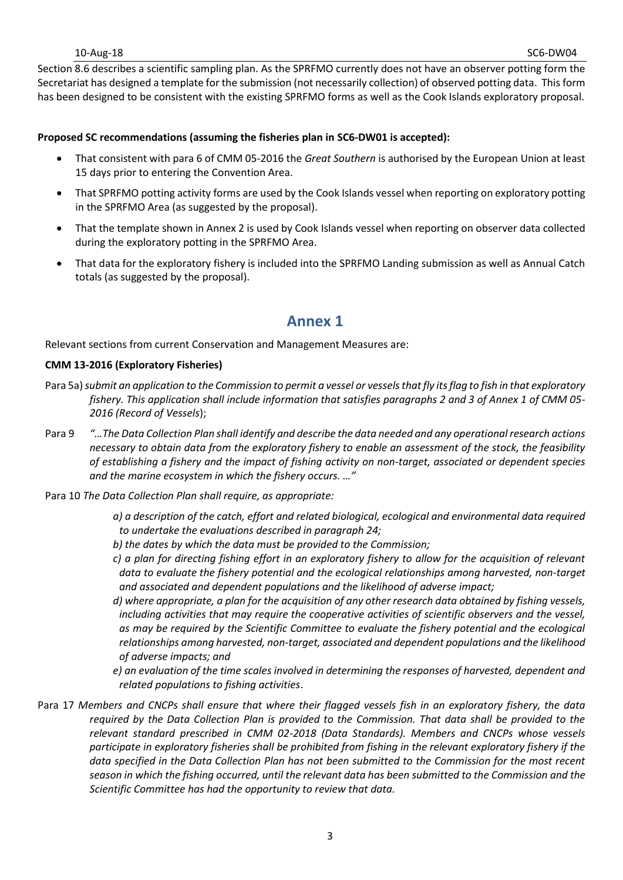#### 10-Aug-18 SC6-DW04

Section 8.6 describes a scientific sampling plan. As the SPRFMO currently does not have an observer potting form the Secretariat has designed a template for the submission (not necessarily collection) of observed potting data. This form has been designed to be consistent with the existing SPRFMO forms as well as the Cook Islands exploratory proposal.

### **Proposed SC recommendations (assuming the fisheries plan in SC6-DW01 is accepted):**

- That consistent with para 6 of CMM 05-2016 the *Great Southern* is authorised by the European Union at least 15 days prior to entering the Convention Area.
- That SPRFMO potting activity forms are used by the Cook Islands vessel when reporting on exploratory potting in the SPRFMO Area (as suggested by the proposal).
- That the template shown in Annex 2 is used by Cook Islands vessel when reporting on observer data collected during the exploratory potting in the SPRFMO Area.
- That data for the exploratory fishery is included into the SPRFMO Landing submission as well as Annual Catch totals (as suggested by the proposal).

### **Annex 1**

Relevant sections from current Conservation and Management Measures are:

#### **CMM 13-2016 (Exploratory Fisheries)**

- Para 5a) *submit an application to the Commission to permit a vessel or vessels that fly its flag to fish in that exploratory fishery. This application shall include information that satisfies paragraphs 2 and 3 of Annex 1 of CMM 05- 2016 (Record of Vessels*);
- Para 9 *"…The Data Collection Plan shall identify and describe the data needed and any operational research actions necessary to obtain data from the exploratory fishery to enable an assessment of the stock, the feasibility of establishing a fishery and the impact of fishing activity on non-target, associated or dependent species and the marine ecosystem in which the fishery occurs. …"*
- Para 10 *The Data Collection Plan shall require, as appropriate:* 
	- *a) a description of the catch, effort and related biological, ecological and environmental data required to undertake the evaluations described in paragraph 24;*
	- *b) the dates by which the data must be provided to the Commission;*
	- *c) a plan for directing fishing effort in an exploratory fishery to allow for the acquisition of relevant data to evaluate the fishery potential and the ecological relationships among harvested, non-target and associated and dependent populations and the likelihood of adverse impact;*
	- *d) where appropriate, a plan for the acquisition of any other research data obtained by fishing vessels, including activities that may require the cooperative activities of scientific observers and the vessel, as may be required by the Scientific Committee to evaluate the fishery potential and the ecological relationships among harvested, non-target, associated and dependent populations and the likelihood of adverse impacts; and*
	- *e) an evaluation of the time scales involved in determining the responses of harvested, dependent and related populations to fishing activities*.
- Para 17 *Members and CNCPs shall ensure that where their flagged vessels fish in an exploratory fishery, the data required by the Data Collection Plan is provided to the Commission. That data shall be provided to the relevant standard prescribed in CMM 02-2018 (Data Standards). Members and CNCPs whose vessels participate in exploratory fisheries shall be prohibited from fishing in the relevant exploratory fishery if the data specified in the Data Collection Plan has not been submitted to the Commission for the most recent season in which the fishing occurred, until the relevant data has been submitted to the Commission and the Scientific Committee has had the opportunity to review that data.*